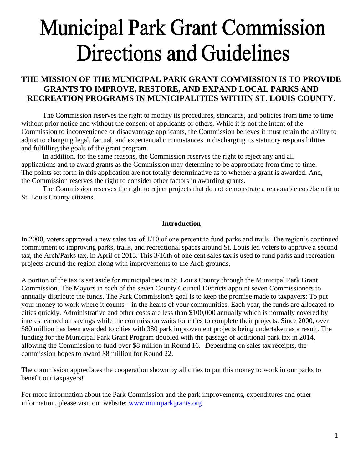# **Municipal Park Grant Commission Directions and Guidelines**

## **THE MISSION OF THE MUNICIPAL PARK GRANT COMMISSION IS TO PROVIDE GRANTS TO IMPROVE, RESTORE, AND EXPAND LOCAL PARKS AND RECREATION PROGRAMS IN MUNICIPALITIES WITHIN ST. LOUIS COUNTY.**

The Commission reserves the right to modify its procedures, standards, and policies from time to time without prior notice and without the consent of applicants or others. While it is not the intent of the Commission to inconvenience or disadvantage applicants, the Commission believes it must retain the ability to adjust to changing legal, factual, and experiential circumstances in discharging its statutory responsibilities and fulfilling the goals of the grant program.

In addition, for the same reasons, the Commission reserves the right to reject any and all applications and to award grants as the Commission may determine to be appropriate from time to time. The points set forth in this application are not totally determinative as to whether a grant is awarded. And, the Commission reserves the right to consider other factors in awarding grants.

The Commission reserves the right to reject projects that do not demonstrate a reasonable cost/benefit to St. Louis County citizens.

#### **Introduction**

In 2000, voters approved a new sales tax of 1/10 of one percent to fund parks and trails. The region's continued commitment to improving parks, trails, and recreational spaces around St. Louis led voters to approve a second tax, the Arch/Parks tax, in April of 2013. This 3/16th of one cent sales tax is used to fund parks and recreation projects around the region along with improvements to the Arch grounds.

A portion of the tax is set aside for municipalities in St. Louis County through the Municipal Park Grant Commission. The Mayors in each of the seven County Council Districts appoint seven Commissioners to annually distribute the funds. The Park Commission's goal is to keep the promise made to taxpayers: To put your money to work where it counts – in the hearts of your communities. Each year, the funds are allocated to cities quickly. Administrative and other costs are less than \$100,000 annually which is normally covered by interest earned on savings while the commission waits for cities to complete their projects. Since 2000, over \$80 million has been awarded to cities with 380 park improvement projects being undertaken as a result. The funding for the Municipal Park Grant Program doubled with the passage of additional park tax in 2014, allowing the Commission to fund over \$8 million in Round 16. Depending on sales tax receipts, the commission hopes to award \$8 million for Round 22.

The commission appreciates the cooperation shown by all cities to put this money to work in our parks to benefit our taxpayers!

For more information about the Park Commission and the park improvements, expenditures and other information, please visit our website: [www.muniparkgrants.org](http://www.muniparkgrants.org/)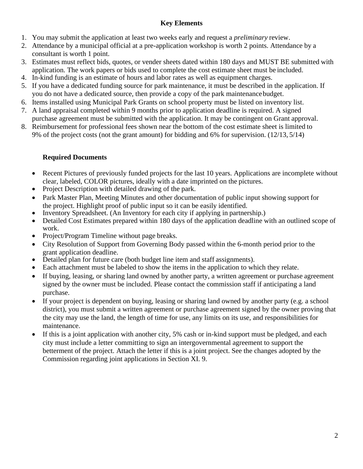## **Key Elements**

- 1. You may submit the application at least two weeks early and request a *preliminary* review.
- 2. Attendance by a municipal official at a pre-application workshop is worth 2 points. Attendance by a consultant is worth 1 point.
- 3. Estimates must reflect bids, quotes, or vender sheets dated within 180 days and MUST BE submitted with application. The work papers or bids used to complete the cost estimate sheet must be included.
- 4. In-kind funding is an estimate of hours and labor rates as well as equipment charges.
- 5. If you have a dedicated funding source for park maintenance, it must be described in the application. If you do not have a dedicated source, then provide a copy of the park maintenancebudget.
- 6. Items installed using Municipal Park Grants on school property must be listed on inventory list.
- 7. A land appraisal completed within 9 months prior to application deadline is required. A signed purchase agreement must be submitted with the application. It may be contingent on Grant approval.
- 8. Reimbursement for professional fees shown near the bottom of the cost estimate sheet is limited to 9% of the project costs (not the grant amount) for bidding and 6% for supervision. (12/13, 5/14)

## **Required Documents**

- Recent Pictures of previously funded projects for the last 10 years. Applications are incomplete without clear, labeled, COLOR pictures, ideally with a date imprinted on the pictures.
- Project Description with detailed drawing of the park.
- Park Master Plan, Meeting Minutes and other documentation of public input showing support for the project. Highlight proof of public input so it can be easily identified.
- Inventory Spreadsheet. (An Inventory for each city if applying in partnership.)
- Detailed Cost Estimates prepared within 180 days of the application deadline with an outlined scope of work.
- Project/Program Timeline without page breaks.
- City Resolution of Support from Governing Body passed within the 6-month period prior to the grant application deadline.
- Detailed plan for future care (both budget line item and staff assignments).
- Each attachment must be labeled to show the items in the application to which they relate.
- If buying, leasing, or sharing land owned by another party, a written agreement or purchase agreement signed by the owner must be included. Please contact the commission staff if anticipating a land purchase.
- If your project is dependent on buying, leasing or sharing land owned by another party (e.g. a school district), you must submit a written agreement or purchase agreement signed by the owner proving that the city may use the land, the length of time for use, any limits on its use, and responsibilities for maintenance.
- If this is a joint application with another city, 5% cash or in-kind support must be pledged, and each city must include a letter committing to sign an intergovernmental agreement to support the betterment of the project. Attach the letter if this is a joint project. See the changes adopted by the Commission regarding joint applications in Section XI. 9.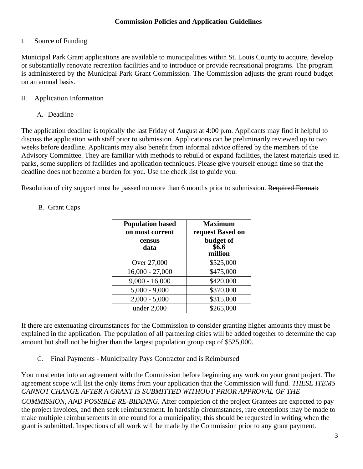### I. Source of Funding

Municipal Park Grant applications are available to municipalities within St. Louis County to acquire, develop or substantially renovate recreation facilities and to introduce or provide recreational programs. The program is administered by the Municipal Park Grant Commission. The Commission adjusts the grant round budget on an annual basis.

#### II. Application Information

#### A. Deadline

The application deadline is topically the last Friday of August at 4:00 p.m. Applicants may find it helpful to discuss the application with staff prior to submission. Applications can be preliminarily reviewed up to two weeks before deadline. Applicants may also benefit from informal advice offered by the members of the Advisory Committee. They are familiar with methods to rebuild or expand facilities, the latest materials used in parks, some suppliers of facilities and application techniques. Please give yourself enough time so that the deadline does not become a burden for you. Use the check list to guide you.

Resolution of city support must be passed no more than 6 months prior to submission. Required Format**:**

| <b>Population based</b><br>on most current | <b>Maximum</b><br>request Based on |
|--------------------------------------------|------------------------------------|
| census<br>data                             | budget of<br>\$6.6<br>million      |
| Over 27,000                                | \$525,000                          |
| $16,000 - 27,000$                          | \$475,000                          |
| $9,000 - 16,000$                           | \$420,000                          |
| $5,000 - 9,000$                            | \$370,000                          |
| $2,000 - 5,000$                            | \$315,000                          |
| under 2,000                                | \$265,000                          |

### B. Grant Caps

If there are extenuating circumstances for the Commission to consider granting higher amounts they must be explained in the application. The population of all partnering cities will be added together to determine the cap amount but shall not be higher than the largest population group cap of \$525,000.

C. Final Payments - Municipality Pays Contractor and is Reimbursed

You must enter into an agreement with the Commission before beginning any work on your grant project. The agreement scope will list the only items from your application that the Commission will fund. *THESE ITEMS CANNOT CHANGE AFTER A GRANT IS SUBMITTED WITHOUT PRIOR APPROVAL OF THE*

*COMMISSION, AND POSSIBLE RE-BIDDING.* After completion of the project Grantees are expected to pay the project invoices, and then seek reimbursement. In hardship circumstances, rare exceptions may be made to make multiple reimbursements in one round for a municipality; this should be requested in writing when the grant is submitted. Inspections of all work will be made by the Commission prior to any grant payment.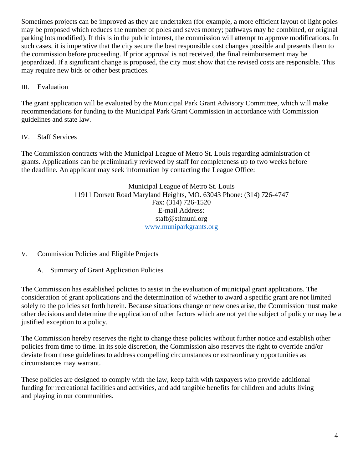Sometimes projects can be improved as they are undertaken (for example, a more efficient layout of light poles may be proposed which reduces the number of poles and saves money; pathways may be combined, or original parking lots modified). If this is in the public interest, the commission will attempt to approve modifications. In such cases, it is imperative that the city secure the best responsible cost changes possible and presents them to the commission before proceeding. If prior approval is not received, the final reimbursement may be jeopardized. If a significant change is proposed, the city must show that the revised costs are responsible. This may require new bids or other best practices.

#### III. Evaluation

The grant application will be evaluated by the Municipal Park Grant Advisory Committee, which will make recommendations for funding to the Municipal Park Grant Commission in accordance with Commission guidelines and state law.

### IV. Staff Services

The Commission contracts with the Municipal League of Metro St. Louis regarding administration of grants. Applications can be preliminarily reviewed by staff for completeness up to two weeks before the deadline. An applicant may seek information by contacting the League Office:

> Municipal League of Metro St. Louis 11911 Dorsett Road Maryland Heights, MO. 63043 Phone: (314) 726-4747 Fax: (314) 726-1520 E-mail Address: [staff@stlmuni.org](mailto:staff@stlmuni.org) <www.muniparkgrants.org>

V. Commission Policies and Eligible Projects

A. Summary of Grant Application Policies

The Commission has established policies to assist in the evaluation of municipal grant applications. The consideration of grant applications and the determination of whether to award a specific grant are not limited solely to the policies set forth herein. Because situations change or new ones arise, the Commission must make other decisions and determine the application of other factors which are not yet the subject of policy or may be a justified exception to a policy.

The Commission hereby reserves the right to change these policies without further notice and establish other policies from time to time. In its sole discretion, the Commission also reserves the right to override and/or deviate from these guidelines to address compelling circumstances or extraordinary opportunities as circumstances may warrant.

These policies are designed to comply with the law, keep faith with taxpayers who provide additional funding for recreational facilities and activities, and add tangible benefits for children and adults living and playing in our communities.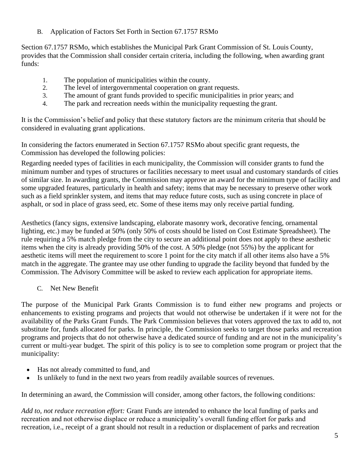B. Application of Factors Set Forth in Section 67.1757 RSMo

Section 67.1757 RSMo, which establishes the Municipal Park Grant Commission of St. Louis County, provides that the Commission shall consider certain criteria, including the following, when awarding grant funds:

- 1. The population of municipalities within the county.
- 2. The level of intergovernmental cooperation on grant requests.
- 3. The amount of grant funds provided to specific municipalities in prior years; and
- 4. The park and recreation needs within the municipality requesting the grant.

It is the Commission's belief and policy that these statutory factors are the minimum criteria that should be considered in evaluating grant applications.

In considering the factors enumerated in Section 67.1757 RSMo about specific grant requests, the Commission has developed the following policies:

Regarding needed types of facilities in each municipality, the Commission will consider grants to fund the minimum number and types of structures or facilities necessary to meet usual and customary standards of cities of similar size. In awarding grants, the Commission may approve an award for the minimum type of facility and some upgraded features, particularly in health and safety; items that may be necessary to preserve other work such as a field sprinkler system, and items that may reduce future costs, such as using concrete in place of asphalt, or sod in place of grass seed, etc. Some of these items may only receive partial funding.

Aesthetics (fancy signs, extensive landscaping, elaborate masonry work, decorative fencing, ornamental lighting, etc.) may be funded at 50% (only 50% of costs should be listed on Cost Estimate Spreadsheet). The rule requiring a 5% match pledge from the city to secure an additional point does not apply to these aesthetic items when the city is already providing 50% of the cost. A 50% pledge (not 55%) by the applicant for aesthetic items will meet the requirement to score 1 point for the city match if all other items also have a 5% match in the aggregate. The grantee may use other funding to upgrade the facility beyond that funded by the Commission. The Advisory Committee will be asked to review each application for appropriate items.

C. Net New Benefit

The purpose of the Municipal Park Grants Commission is to fund either new programs and projects or enhancements to existing programs and projects that would not otherwise be undertaken if it were not for the availability of the Parks Grant Funds. The Park Commission believes that voters approved the tax to add to, not substitute for, funds allocated for parks. In principle, the Commission seeks to target those parks and recreation programs and projects that do not otherwise have a dedicated source of funding and are not in the municipality's current or multi-year budget. The spirit of this policy is to see to completion some program or project that the municipality:

- Has not already committed to fund, and
- Is unlikely to fund in the next two years from readily available sources of revenues.

In determining an award, the Commission will consider, among other factors, the following conditions:

*Add to, not reduce recreation effort:* Grant Funds are intended to enhance the local funding of parks and recreation and not otherwise displace or reduce a municipality's overall funding effort for parks and recreation, i.e., receipt of a grant should not result in a reduction or displacement of parks and recreation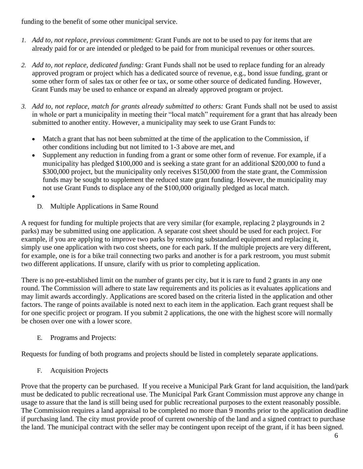funding to the benefit of some other municipal service.

- *1. Add to, not replace, previous commitment:* Grant Funds are not to be used to pay for items that are already paid for or are intended or pledged to be paid for from municipal revenues or other sources.
- *2. Add to, not replace, dedicated funding:* Grant Funds shall not be used to replace funding for an already approved program or project which has a dedicated source of revenue, e.g., bond issue funding, grant or some other form of sales tax or other fee or tax, or some other source of dedicated funding. However, Grant Funds may be used to enhance or expand an already approved program or project.
- *3. Add to, not replace, match for grants already submitted to others:* Grant Funds shall not be used to assist in whole or part a municipality in meeting their "local match" requirement for a grant that has already been submitted to another entity. However, a municipality may seek to use Grant Funds to:
	- Match a grant that has not been submitted at the time of the application to the Commission, if other conditions including but not limited to 1-3 above are met, and
	- Supplement any reduction in funding from a grant or some other form of revenue. For example, if a municipality has pledged \$100,000 and is seeking a state grant for an additional \$200,000 to fund a \$300,000 project, but the municipality only receives \$150,000 from the state grant, the Commission funds may be sought to supplement the reduced state grant funding. However, the municipality may not use Grant Funds to displace any of the \$100,000 originally pledged as local match.
	- •
- D. Multiple Applications in Same Round

A request for funding for multiple projects that are very similar (for example, replacing 2 playgrounds in 2 parks) may be submitted using one application. A separate cost sheet should be used for each project. For example, if you are applying to improve two parks by removing substandard equipment and replacing it, simply use one application with two cost sheets, one for each park. If the multiple projects are very different, for example, one is for a bike trail connecting two parks and another is for a park restroom, you must submit two different applications. If unsure, clarify with us prior to completing application.

There is no pre-established limit on the number of grants per city, but it is rare to fund 2 grants in any one round. The Commission will adhere to state law requirements and its policies as it evaluates applications and may limit awards accordingly. Applications are scored based on the criteria listed in the application and other factors. The range of points available is noted next to each item in the application. Each grant request shall be for one specific project or program. If you submit 2 applications, the one with the highest score will normally be chosen over one with a lower score.

E. Programs and Projects:

Requests for funding of both programs and projects should be listed in completely separate applications.

F. Acquisition Projects

Prove that the property can be purchased. If you receive a Municipal Park Grant for land acquisition, the land/park must be dedicated to public recreational use. The Municipal Park Grant Commission must approve any change in usage to assure that the land is still being used for public recreational purposes to the extent reasonably possible. The Commission requires a land appraisal to be completed no more than 9 months prior to the application deadline if purchasing land. The city must provide proof of current ownership of the land and a signed contract to purchase the land. The municipal contract with the seller may be contingent upon receipt of the grant, if it has been signed.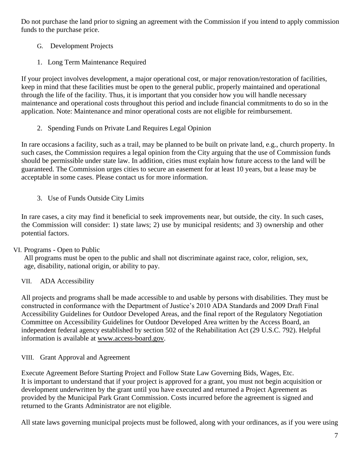Do not purchase the land prior to signing an agreement with the Commission if you intend to apply commission funds to the purchase price.

- G. Development Projects
- 1. Long Term Maintenance Required

If your project involves development, a major operational cost, or major renovation/restoration of facilities, keep in mind that these facilities must be open to the general public, properly maintained and operational through the life of the facility*.* Thus, it is important that you consider how you will handle necessary maintenance and operational costs throughout this period and include financial commitments to do so in the application. Note: Maintenance and minor operational costs are not eligible for reimbursement.

2. Spending Funds on Private Land Requires Legal Opinion

In rare occasions a facility, such as a trail, may be planned to be built on private land, e.g., church property. In such cases, the Commission requires a legal opinion from the City arguing that the use of Commission funds should be permissible under state law. In addition, cities must explain how future access to the land will be guaranteed. The Commission urges cities to secure an easement for at least 10 years, but a lease may be acceptable in some cases. Please contact us for more information.

3. Use of Funds Outside City Limits

In rare cases, a city may find it beneficial to seek improvements near, but outside, the city. In such cases, the Commission will consider: 1) state laws; 2) use by municipal residents; and 3) ownership and other potential factors.

## VI. Programs - Open to Public

All programs must be open to the public and shall not discriminate against race, color, religion, sex, age, disability, national origin, or ability to pay.

## VII. ADA Accessibility

All projects and programs shall be made accessible to and usable by persons with disabilities. They must be constructed in conformance with the Department of Justice's 2010 ADA Standards and 2009 Draft Final Accessibility Guidelines for Outdoor Developed Areas, and the final report of the Regulatory Negotiation Committee on Accessibility Guidelines for Outdoor Developed Area written by the Access Board, an independent federal agency established by section 502 of the Rehabilitation Act (29 U.S.C. 792). Helpful information is available at [www.access-board.gov.](http://www.access-board.gov/)

## VIII. Grant Approval and Agreement

Execute Agreement Before Starting Project and Follow State Law Governing Bids, Wages, Etc. It is important to understand that if your project is approved for a grant, you must not begin acquisition or development underwritten by the grant until you have executed and returned a Project Agreement as provided by the Municipal Park Grant Commission. Costs incurred before the agreement is signed and returned to the Grants Administrator are not eligible.

All state laws governing municipal projects must be followed, along with your ordinances, as if you were using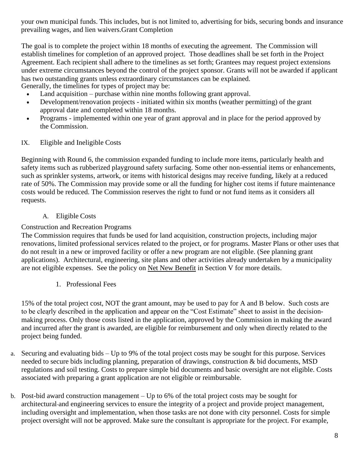your own municipal funds. This includes, but is not limited to, advertising for bids, securing bonds and insurance prevailing wages, and lien waivers.Grant Completion

The goal is to complete the project within 18 months of executing the agreement. The Commission will establish timelines for completion of an approved project. Those deadlines shall be set forth in the Project Agreement. Each recipient shall adhere to the timelines as set forth; Grantees may request project extensions under extreme circumstances beyond the control of the project sponsor. Grants will not be awarded if applicant has two outstanding grants unless extraordinary circumstances can be explained. Generally, the timelines for types of project may be:

- Land acquisition purchase within nine months following grant approval.
- Development/renovation projects initiated within six months (weather permitting) of the grant approval date and completed within 18 months.
- Programs implemented within one year of grant approval and in place for the period approved by the Commission.

#### IX. Eligible and Ineligible Costs

Beginning with Round 6, the commission expanded funding to include more items, particularly health and safety items such as rubberized playground safety surfacing. Some other non-essential items or enhancements, such as sprinkler systems, artwork, or items with historical designs may receive funding, likely at a reduced rate of 50%. The Commission may provide some or all the funding for higher cost items if future maintenance costs would be reduced. The Commission reserves the right to fund or not fund items as it considers all requests.

#### A. Eligible Costs

#### Construction and Recreation Programs

The Commission requires that funds be used for land acquisition, construction projects, including major renovations, limited professional services related to the project, or for programs. Master Plans or other uses that do not result in a new or improved facility or offer a new program are not eligible. (See planning grant applications). Architectural, engineering, site plans and other activities already undertaken by a municipality are not eligible expenses. See the policy on Net New Benefit in Section V for more details.

1. Professional Fees

15% of the total project cost, NOT the grant amount, may be used to pay for A and B below. Such costs are to be clearly described in the application and appear on the "Cost Estimate" sheet to assist in the decisionmaking process. Only those costs listed in the application, approved by the Commission in making the award and incurred after the grant is awarded, are eligible for reimbursement and only when directly related to the project being funded.

- a. Securing and evaluating bids Up to 9% of the total project costs may be sought for this purpose. Services needed to secure bids including planning, preparation of drawings, construction & bid documents, MSD regulations and soil testing. Costs to prepare simple bid documents and basic oversight are not eligible. Costs associated with preparing a grant application are not eligible or reimbursable.
- b. Post-bid award construction management Up to 6% of the total project costs may be sought for architectural and engineering services to ensure the integrity of a project and provide project management, including oversight and implementation, when those tasks are not done with city personnel. Costs for simple project oversight will not be approved. Make sure the consultant is appropriate for the project. For example,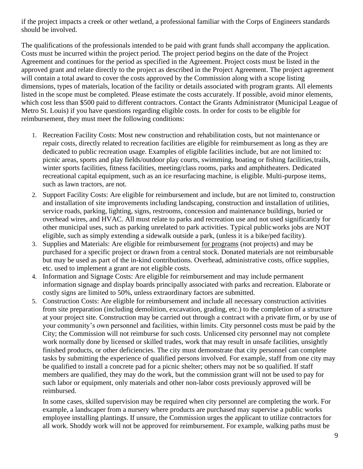if the project impacts a creek or other wetland, a professional familiar with the Corps of Engineers standards should be involved.

The qualifications of the professionals intended to be paid with grant funds shall accompany the application. Costs must be incurred within the project period. The project period begins on the date of the Project Agreement and continues for the period as specified in the Agreement. Project costs must be listed in the approved grant and relate directly to the project as described in the Project Agreement. The project agreement will contain a total award to cover the costs approved by the Commission along with a scope listing dimensions, types of materials, location of the facility or details associated with program grants. All elements listed in the scope must be completed. Please estimate the costs accurately. If possible, avoid minor elements, which cost less than \$500 paid to different contractors. Contact the Grants Administrator (Municipal League of Metro St. Louis) if you have questions regarding eligible costs. In order for costs to be eligible for reimbursement, they must meet the following conditions:

- 1. Recreation Facility Costs: Most new construction and rehabilitation costs, but not maintenance or repair costs, directly related to recreation facilities are eligible for reimbursement as long as they are dedicated to public recreation usage. Examples of eligible facilities include, but are not limited to: picnic areas, sports and play fields/outdoor play courts, swimming, boating or fishing facilities,trails, winter sports facilities, fitness facilities, meeting/class rooms, parks and amphitheaters. Dedicated recreational capital equipment, such as an ice resurfacing machine, is eligible. Multi-purpose items, such as lawn tractors, are not.
- 2. Support Facility Costs: Are eligible for reimbursement and include, but are not limited to, construction and installation of site improvements including landscaping, construction and installation of utilities, service roads, parking, lighting, signs, restrooms, concession and maintenance buildings, buried or overhead wires, and HVAC. All must relate to parks and recreation use and not used significantly for other municipal uses, such as parking unrelated to park activities. Typical publicworks jobs are NOT eligible, such as simply extending a sidewalk outside a park, (unless it is a bike/ped facility).
- 3. Supplies and Materials: Are eligible for reimbursement for programs (not projects) and may be purchased for a specific project or drawn from a central stock. Donated materials are not reimbursable but may be used as part of the in-kind contributions. Overhead, administrative costs, office supplies, etc. used to implement a grant are not eligible costs.
- 4. Information and Signage Costs: Are eligible for reimbursement and may include permanent information signage and display boards principally associated with parks and recreation. Elaborate or costly signs are limited to 50%, unless extraordinary factors are submitted.
- 5. Construction Costs: Are eligible for reimbursement and include all necessary construction activities from site preparation (including demolition, excavation, grading, etc.) to the completion of a structure at your project site. Construction may be carried out through a contract with a private firm, or by use of your community's own personnel and facilities, within limits. City personnel costs must be paid by the City; the Commission will not reimburse for such costs. Unlicensed city personnel may not complete work normally done by licensed or skilled trades, work that may result in unsafe facilities, unsightly finished products, or other deficiencies. The city must demonstrate that city personnel can complete tasks by submitting the experience of qualified persons involved. For example, staff from one city may be qualified to install a concrete pad for a picnic shelter; others may not be so qualified. If staff members are qualified, they may do the work, but the commission grant will not be used to pay for such labor or equipment, only materials and other non-labor costs previously approved will be reimbursed.

In some cases, skilled supervision may be required when city personnel are completing the work. For example, a landscaper from a nursery where products are purchased may supervise a public works employee installing plantings. If unsure, the Commission urges the applicant to utilize contractors for all work. Shoddy work will not be approved for reimbursement. For example, walking paths must be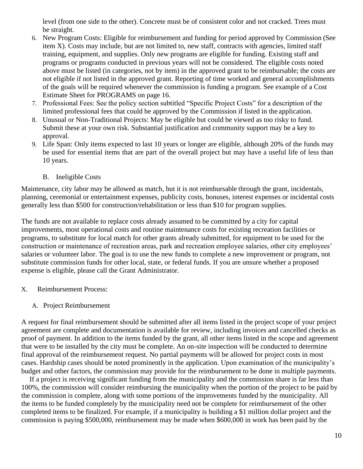level (from one side to the other). Concrete must be of consistent color and not cracked. Trees must be straight.

- 6. New Program Costs: Eligible for reimbursement and funding for period approved by Commission (See item X). Costs may include, but are not limited to, new staff, contracts with agencies, limited staff training, equipment, and supplies. Only new programs are eligible for funding. Existing staff and programs or programs conducted in previous years will not be considered. The eligible costs noted above must be listed (in categories, not by item) in the approved grant to be reimbursable; the costs are not eligible if not listed in the approved grant. Reporting of time worked and general accomplishments of the goals will be required whenever the commission is funding a program. See example of a Cost Estimate Sheet for PROGRAMS on page 16.
- 7. Professional Fees: See the policy section subtitled "Specific Project Costs" for a description of the limited professional fees that could be approved by the Commission if listed in the application.
- 8. Unusual or Non-Traditional Projects: May be eligible but could be viewed as too risky to fund. Submit these at your own risk. Substantial justification and community support may be a key to approval.
- 9. Life Span: Only items expected to last 10 years or longer are eligible, although 20% of the funds may be used for essential items that are part of the overall project but may have a useful life of less than 10 years.
	- B. Ineligible Costs

Maintenance, city labor may be allowed as match, but it is not reimbursable through the grant, incidentals, planning, ceremonial or entertainment expenses, publicity costs, bonuses, interest expenses or incidental costs generally less than \$500 for construction/rehabilitation or less than \$10 for program supplies.

The funds are not available to replace costs already assumed to be committed by a city for capital improvements, most operational costs and routine maintenance costs for existing recreation facilities or programs, to substitute for local match for other grants already submitted, for equipment to be used for the construction or maintenance of recreation areas, park and recreation employee salaries, other city employees' salaries or volunteer labor. The goal is to use the new funds to complete a new improvement or program, not substitute commission funds for other local, state, or federal funds. If you are unsure whether a proposed expense is eligible, please call the Grant Administrator.

- X. Reimbursement Process:
	- A. Project Reimbursement

A request for final reimbursement should be submitted after all items listed in the project scope of your project agreement are complete and documentation is available for review, including invoices and cancelled checks as proof of payment. In addition to the items funded by the grant, all other items listed in the scope and agreement that were to be installed by the city must be complete. An on-site inspection will be conducted to determine final approval of the reimbursement request. No partial payments will be allowed for project costs in most cases. Hardship cases should be noted prominently in the application. Upon examination of the municipality's budget and other factors, the commission may provide for the reimbursement to be done in multiple payments.

If a project is receiving significant funding from the municipality and the commission share is far less than 100%, the commission will consider reimbursing the municipality when the portion of the project to be paid by the commission is complete, along with some portions of the improvements funded by the municipality. All the items to be funded completely by the municipality need not be complete for reimbursement of the other completed items to be finalized. For example, if a municipality is building a \$1 million dollar project and the commission is paying \$500,000, reimbursement may be made when \$600,000 in work has been paid by the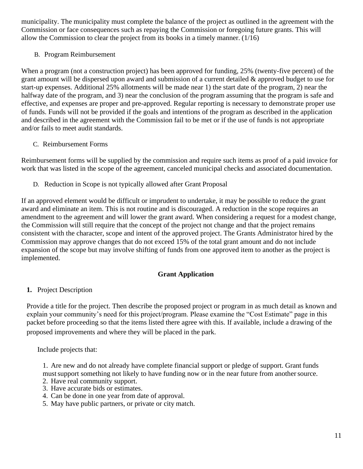municipality. The municipality must complete the balance of the project as outlined in the agreement with the Commission or face consequences such as repaying the Commission or foregoing future grants. This will allow the Commission to clear the project from its books in a timely manner. (1/16)

#### B. Program Reimbursement

When a program (not a construction project) has been approved for funding, 25% (twenty-five percent) of the grant amount will be dispersed upon award and submission of a current detailed & approved budget to use for start-up expenses. Additional 25% allotments will be made near 1) the start date of the program, 2) near the halfway date of the program, and 3) near the conclusion of the program assuming that the program is safe and effective, and expenses are proper and pre-approved. Regular reporting is necessary to demonstrate proper use of funds. Funds will not be provided if the goals and intentions of the program as described in the application and described in the agreement with the Commission fail to be met or if the use of funds is not appropriate and/or fails to meet audit standards.

#### C. Reimbursement Forms

Reimbursement forms will be supplied by the commission and require such items as proof of a paid invoice for work that was listed in the scope of the agreement, canceled municipal checks and associated documentation.

D. Reduction in Scope is not typically allowed after Grant Proposal

If an approved element would be difficult or imprudent to undertake, it may be possible to reduce the grant award and eliminate an item. This is not routine and is discouraged. A reduction in the scope requires an amendment to the agreement and will lower the grant award. When considering a request for a modest change, the Commission will still require that the concept of the project not change and that the project remains consistent with the character, scope and intent of the approved project. The Grants Administrator hired by the Commission may approve changes that do not exceed 15% of the total grant amount and do not include expansion of the scope but may involve shifting of funds from one approved item to another as the project is implemented.

#### **Grant Application**

#### **1.** Project Description

Provide a title for the project. Then describe the proposed project or program in as much detail as known and explain your community's need for this project/program. Please examine the "Cost Estimate" page in this packet before proceeding so that the items listed there agree with this. If available, include a drawing of the proposed improvements and where they will be placed in the park.

Include projects that:

1. Are new and do not already have complete financial support or pledge of support. Grant funds must support something not likely to have funding now or in the near future from another source.

- 2. Have real community support.
- 3. Have accurate bids or estimates.
- 4. Can be done in one year from date of approval.
- 5. May have public partners, or private or city match.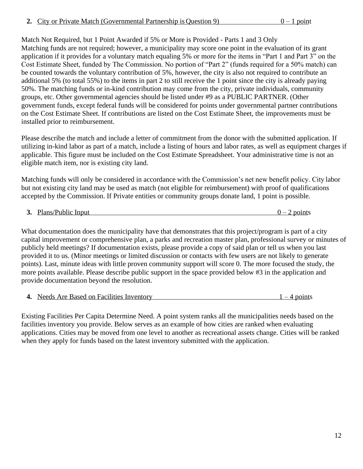Match Not Required, but 1 Point Awarded if 5% or More is Provided - Parts 1 and 3 Only Matching funds are not required; however, a municipality may score one point in the evaluation of its grant application if it provides for a voluntary match equaling 5% or more for the items in "Part 1 and Part 3" on the Cost Estimate Sheet, funded by The Commission. No portion of "Part 2" (funds required for a 50% match) can be counted towards the voluntary contribution of 5%, however, the city is also not required to contribute an additional 5% (to total 55%) to the items in part 2 to still receive the 1 point since the city is already paying 50%. The matching funds or in-kind contribution may come from the city, private individuals, community groups, etc. Other governmental agencies should be listed under #9 as a PUBLIC PARTNER. (Other government funds, except federal funds will be considered for points under governmental partner contributions on the Cost Estimate Sheet. If contributions are listed on the Cost Estimate Sheet, the improvements must be installed prior to reimbursement.

Please describe the match and include a letter of commitment from the donor with the submitted application. If utilizing in-kind labor as part of a match, include a listing of hours and labor rates, as well as equipment charges if applicable. This figure must be included on the Cost Estimate Spreadsheet. Your administrative time is not an eligible match item, nor is existing city land.

Matching funds will only be considered in accordance with the Commission's net new benefit policy. City labor but not existing city land may be used as match (not eligible for reimbursement) with proof of qualifications accepted by the Commission. If Private entities or community groups donate land, 1 point is possible.

**3.** Plans/Public Input  $0 - 2$  points

What documentation does the municipality have that demonstrates that this project/program is part of a city capital improvement or comprehensive plan, a parks and recreation master plan, professional survey or minutes of publicly held meetings? If documentation exists, please provide a copy of said plan or tell us when you last provided it to us. (Minor meetings or limited discussion or contacts with few users are not likely to generate points). Last, minute ideas with little proven community support will score 0. The more focused the study, the more points available. Please describe public support in the space provided below #3 in the application and provide documentation beyond the resolution.

**4.** Needs Are Based on Facilities Inventory 1 – 4 points

Existing Facilities Per Capita Determine Need. A point system ranks all the municipalities needs based on the facilities inventory you provide. Below serves as an example of how cities are ranked when evaluating applications. Cities may be moved from one level to another as recreational assets change. Cities will be ranked when they apply for funds based on the latest inventory submitted with the application.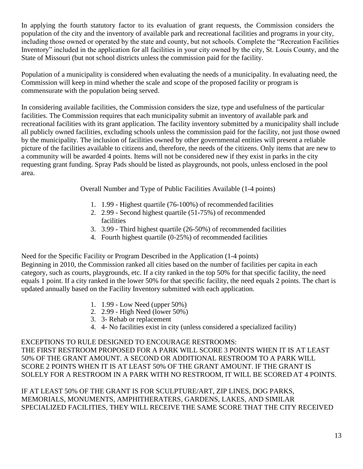In applying the fourth statutory factor to its evaluation of grant requests, the Commission considers the population of the city and the inventory of available park and recreational facilities and programs in your city, including those owned or operated by the state and county, but not schools. Complete the "Recreation Facilities Inventory" included in the application for all facilities in your city owned by the city, St. Louis County, and the State of Missouri (but not school districts unless the commission paid for the facility.

Population of a municipality is considered when evaluating the needs of a municipality. In evaluating need, the Commission will keep in mind whether the scale and scope of the proposed facility or program is commensurate with the population being served.

In considering available facilities, the Commission considers the size, type and usefulness of the particular facilities. The Commission requires that each municipality submit an inventory of available park and recreational facilities with its grant application. The facility inventory submitted by a municipality shall include all publicly owned facilities, excluding schools unless the commission paid for the facility, not just those owned by the municipality. The inclusion of facilities owned by other governmental entities will present a reliable picture of the facilities available to citizens and, therefore, the needs of the citizens. Only items that are new to a community will be awarded 4 points. Items will not be considered new if they exist in parks in the city requesting grant funding. Spray Pads should be listed as playgrounds, not pools, unless enclosed in the pool area.

Overall Number and Type of Public Facilities Available (1-4 points)

- 1. 1.99 Highest quartile (76-100%) of recommended facilities
- 2. 2.99 Second highest quartile (51-75%) of recommended facilities
- 3. 3.99 Third highest quartile (26-50%) of recommended facilities
- 4. Fourth highest quartile (0-25%) of recommended facilities

Need for the Specific Facility or Program Described in the Application (1-4 points) Beginning in 2010, the Commission ranked all cities based on the number of facilities per capita in each category, such as courts, playgrounds, etc. If a city ranked in the top 50% for that specific facility, the need equals 1 point. If a city ranked in the lower 50% for that specific facility, the need equals 2 points. The chart is updated annually based on the Facility Inventory submitted with each application.

- 1. 1.99 Low Need (upper 50%)
- 2. 2.99 High Need (lower 50%)
- 3. 3- Rehab or replacement
- 4. 4- No facilities exist in city (unless considered a specialized facility)

EXCEPTIONS TO RULE DESIGNED TO ENCOURAGE RESTROOMS: THE FIRST RESTROOM PROPOSED FOR A PARK WILL SCORE 3 POINTS WHEN IT IS AT LEAST 50% OF THE GRANT AMOUNT. A SECOND OR ADDITIONAL RESTROOM TO A PARK WILL SCORE 2 POINTS WHEN IT IS AT LEAST 50% OF THE GRANT AMOUNT. IF THE GRANT IS SOLELY FOR A RESTROOM IN A PARK WITH NO RESTROOM, IT WILL BE SCORED AT 4 POINTS.

IF AT LEAST 50% OF THE GRANT IS FOR SCULPTURE/ART, ZIP LINES, DOG PARKS, MEMORIALS, MONUMENTS, AMPHITHERATERS, GARDENS, LAKES, AND SIMILAR SPECIALIZED FACILITIES, THEY WILL RECEIVE THE SAME SCORE THAT THE CITY RECEIVED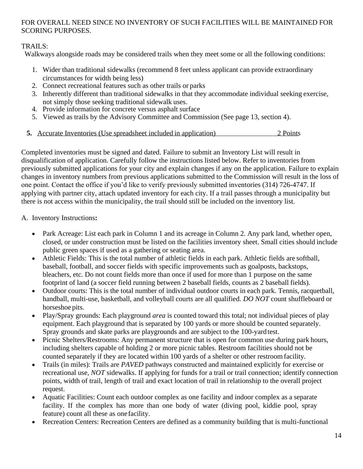## FOR OVERALL NEED SINCE NO INVENTORY OF SUCH FACILITIES WILL BE MAINTAINED FOR SCORING PURPOSES.

## TRAILS:

Walkways alongside roads may be considered trails when they meet some or all the following conditions:

- 1. Wider than traditional sidewalks (recommend 8 feet unless applicant can provide extraordinary circumstances for width being less)
- 2. Connect recreational features such as other trails or parks
- 3. Inherently different than traditional sidewalks in that they accommodate individual seeking exercise, not simply those seeking traditional sidewalk uses.
- 4. Provide information for concrete versus asphalt surface
- 5. Viewed as trails by the Advisory Committee and Commission (See page 13, section 4).
- **5.** Accurate Inventories (Use spreadsheet included in application) 2 Points

Completed inventories must be signed and dated. Failure to submit an Inventory List will result in disqualification of application. Carefully follow the instructions listed below. Refer to inventories from previously submitted applications for your city and explain changes if any on the application. Failure to explain changes in inventory numbers from previous applications submitted to the Commission will result in the loss of one point. Contact the office if you'd like to verify previously submitted inventories (314) 726-4747. If applying with partner city, attach updated inventory for each city. If a trail passes through a municipality but there is not access within the municipality, the trail should still be included on the inventory list.

## A. Inventory Instructions**:**

- Park Acreage: List each park in Column 1 and its acreage in Column 2. Any park land, whether open, closed, or under construction must be listed on the facilities inventory sheet. Small cities should include public green spaces if used as a gathering or seating area.
- Athletic Fields: This is the total number of athletic fields in each park. Athletic fields are softball, baseball, football, and soccer fields with specific improvements such as goalposts, backstops, bleachers, etc. Do not count fields more than once if used for more than 1 purpose on the same footprint of land (a soccer field running between 2 baseball fields, counts as 2 baseball fields).
- Outdoor courts: This is the total number of individual outdoor courts in each park. Tennis, racquetball, handball, multi-use, basketball, and volleyball courts are all qualified. *DO NOT* count shuffleboard or horseshoe pits.
- Play/Spray grounds: Each playground *area* is counted toward this total; not individual pieces of play equipment. Each playground that is separated by 100 yards or more should be counted separately. Spray grounds and skate parks are playgrounds and are subject to the 100-yard test.
- Picnic Shelters/Restrooms: Any permanent structure that is open for common use during park hours, including shelters capable of holding 2 or more picnic tables. Restroom facilities should not be counted separately if they are located within 100 yards of a shelter or other restroom facility.
- Trails (in miles): Trails are *PAVED* pathways constructed and maintained explicitly for exercise or recreational use, *NOT* sidewalks. If applying for funds for a trail or trail connection; identify connection points, width of trail, length of trail and exact location of trail in relationship to the overall project request.
- Aquatic Facilities: Count each outdoor complex as one facility and indoor complex as a separate facility. If the complex has more than one body of water (diving pool, kiddie pool, spray feature) count all these as onefacility.
- Recreation Centers: Recreation Centers are defined as a community building that is multi-functional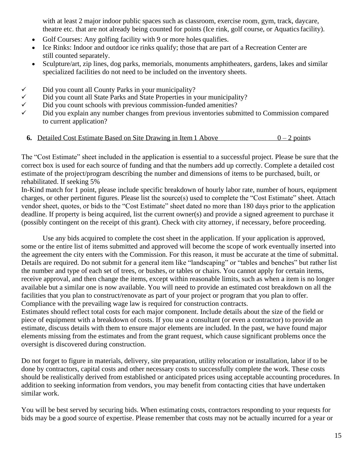with at least 2 major indoor public spaces such as classroom, exercise room, gym, track, daycare, theatre etc. that are not already being counted for points (Ice rink, golf course, or Aquaticsfacility).

- Golf Courses: Any golfing facility with 9 or more holes qualifies.
- Ice Rinks: Indoor and outdoor ice rinks qualify; those that are part of a Recreation Center are still counted separately.
- Sculpture/art, zip lines, dog parks, memorials, monuments amphitheaters, gardens, lakes and similar specialized facilities do not need to be included on the inventory sheets.
- ✓ Did you count all County Parks in your municipality?
- $\checkmark$  Did you count all State Parks and State Properties in your municipality?<br>
Did you count schools with previous commission-funded amenities?
- Did you count schools with previous commission-funded amenities?
- Did you explain any number changes from previous inventories submitted to Commission compared to current application?

#### **6.** Detailed Cost Estimate Based on Site Drawing in Item 1 Above  $0 - 2$  points

The "Cost Estimate" sheet included in the application is essential to a successful project. Please be sure that the correct box is used for each source of funding and that the numbers add up correctly. Complete a detailed cost estimate of the project/program describing the number and dimensions of items to be purchased, built, or rehabilitated. If seeking 5%

In-Kind match for 1 point, please include specific breakdown of hourly labor rate, number of hours, equipment charges, or other pertinent figures. Please list the source(s) used to complete the "Cost Estimate" sheet. Attach vendor sheet, quotes, or bids to the "Cost Estimate" sheet dated no more than 180 days prior to the application deadline. If property is being acquired, list the current owner(s) and provide a signed agreement to purchase it (possibly contingent on the receipt of this grant). Check with city attorney, if necessary, before proceeding.

Use any bids acquired to complete the cost sheet in the application. If your application is approved, some or the entire list of items submitted and approved will become the scope of work eventually inserted into the agreement the city enters with the Commission. For this reason, it must be accurate at the time of submittal. Details are required. Do not submit for a general item like "landscaping" or "tables and benches" but rather list the number and type of each set of trees, or bushes, or tables or chairs. You cannot apply for certain items, receive approval, and then change the items, except within reasonable limits, such as when a item is no longer available but a similar one is now available. You will need to provide an estimated cost breakdown on all the facilities that you plan to construct/renovate as part of your project or program that you plan to offer. Compliance with the prevailing wage law is required for construction contracts.

Estimates should reflect total costs for each major component. Include details about the size of the field or piece of equipment with a breakdown of costs. If you use a consultant (or even a contractor) to provide an estimate, discuss details with them to ensure major elements are included. In the past, we have found major elements missing from the estimates and from the grant request, which cause significant problems once the oversight is discovered during construction.

Do not forget to figure in materials, delivery, site preparation, utility relocation or installation, labor if to be done by contractors, capital costs and other necessary costs to successfully complete the work. These costs should be realistically derived from established or anticipated prices using acceptable accounting procedures. In addition to seeking information from vendors, you may benefit from contacting cities that have undertaken similar work.

You will be best served by securing bids. When estimating costs, contractors responding to your requests for bids may be a good source of expertise. Please remember that costs may not be actually incurred for a year or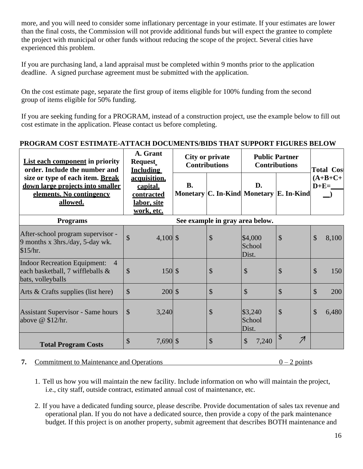more, and you will need to consider some inflationary percentage in your estimate. If your estimates are lower than the final costs, the Commission will not provide additional funds but will expect the grantee to complete the project with municipal or other funds without reducing the scope of the project. Several cities have experienced this problem.

If you are purchasing land, a land appraisal must be completed within 9 months prior to the application deadline. A signed purchase agreement must be submitted with the application.

On the cost estimate page, separate the first group of items eligible for 100% funding from the second group of items eligible for 50% funding.

If you are seeking funding for a PROGRAM, instead of a construction project, use the example below to fill out cost estimate in the application. Please contact us before completing.

### **PROGRAM COST ESTIMATE-ATTACH DOCUMENTS/BIDS THAT SUPPORT FIGURES BELOW**

| <b>List each component in priority</b><br>order. Include the number and                                        | A. Grant<br><b>Request</b><br><b>Including</b>                      | <b>City or private</b><br><b>Contributions</b> |                                 | <b>Public Partner</b><br><b>Contributions</b> |                                                       | <b>Total Cos</b>                 |  |
|----------------------------------------------------------------------------------------------------------------|---------------------------------------------------------------------|------------------------------------------------|---------------------------------|-----------------------------------------------|-------------------------------------------------------|----------------------------------|--|
| size or type of each item. Break<br>down large projects into smaller<br>elements. No contingency<br>allowed.   | acquisition.<br>capital,<br>contracted<br>labor, site<br>work, etc. | <b>B.</b>                                      |                                 | D.                                            | Monetary C. In-Kind Monetary E. In-Kind               | $(A+B+C+$<br>$D+E=\_$            |  |
| <b>Programs</b>                                                                                                |                                                                     |                                                | See example in gray area below. |                                               |                                                       |                                  |  |
| After-school program supervisor -<br>9 months x 3hrs./day, 5-day wk.<br>\$15/hr.                               | $\mathcal{S}$<br>$4,100$ \$                                         |                                                | \$                              | \$4,000<br>School<br>Dist.                    | $\mathcal{S}$                                         | \$<br>8,100                      |  |
| <b>Indoor Recreation Equipment:</b><br>$\overline{4}$<br>each basketball, 7 wiffleballs &<br>bats, volleyballs | $\mathcal{S}$<br>150S                                               |                                                | \$                              | \$                                            | \$                                                    | $\boldsymbol{\mathsf{S}}$<br>150 |  |
| Arts & Crafts supplies (list here)                                                                             | $\mathcal{S}$<br>$200 \,$ \$                                        |                                                | $\mathcal{S}$                   | $\mathcal{S}$                                 | $\mathcal{S}$                                         | $\mathcal{S}$<br>200             |  |
| <b>Assistant Supervisor - Same hours</b><br>above $@$ \$12/hr.                                                 | $\mathcal{S}$<br>3,240                                              |                                                | $\mathcal{S}$                   | \$3,240<br>School<br>Dist.                    | $\mathcal{S}$                                         | $\mathcal{S}$<br>6,480           |  |
| <b>Total Program Costs</b>                                                                                     | $\mathcal{S}$<br>$7,690$ \$                                         |                                                | $\mathcal{S}$                   | $\boldsymbol{\mathsf{S}}$<br>7,240            | $\boldsymbol{\mathsf{S}}$<br>$\overline{\mathcal{A}}$ |                                  |  |

#### **7.** Commitment to Maintenance and Operations  $0-2$  points

- 1. Tell us how you will maintain the new facility. Include information on who will maintain the project, i.e., city staff, outside contract, estimated annual cost of maintenance, etc.
- 2. If you have a dedicated funding source, please describe. Provide documentation of sales tax revenue and operational plan. If you do not have a dedicated source, then provide a copy of the park maintenance budget. If this project is on another property, submit agreement that describes BOTH maintenance and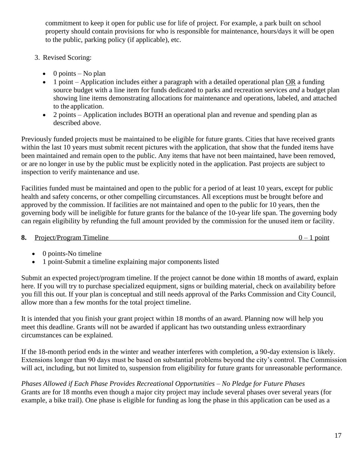commitment to keep it open for public use for life of project. For example, a park built on school property should contain provisions for who is responsible for maintenance, hours/days it will be open to the public, parking policy (if applicable), etc.

- 3. Revised Scoring:
	- $\bullet$  0 points No plan
	- 1 point Application includes either a paragraph with a detailed operational plan OR a funding source budget with a line item for funds dedicated to parks and recreation services *and* a budget plan showing line items demonstrating allocations for maintenance and operations, labeled, and attached to the application.
	- 2 points Application includes BOTH an operational plan and revenue and spending plan as described above.

Previously funded projects must be maintained to be eligible for future grants. Cities that have received grants within the last 10 years must submit recent pictures with the application, that show that the funded items have been maintained and remain open to the public. Any items that have not been maintained, have been removed, or are no longer in use by the public must be explicitly noted in the application. Past projects are subject to inspection to verify maintenance and use.

Facilities funded must be maintained and open to the public for a period of at least 10 years, except for public health and safety concerns, or other compelling circumstances. All exceptions must be brought before and approved by the commission. If facilities are not maintained and open to the public for 10 years, then the governing body will be ineligible for future grants for the balance of the 10-year life span. The governing body can regain eligibility by refunding the full amount provided by the commission for the unused item or facility.

- **8.** Project/Program Timeline 0 1 point
	- 0 points-No timeline
	- 1 point-Submit a timeline explaining major components listed

Submit an expected project/program timeline. If the project cannot be done within 18 months of award, explain here. If you will try to purchase specialized equipment, signs or building material, check on availability before you fill this out. If your plan is conceptual and still needs approval of the Parks Commission and City Council, allow more than a few months for the total project timeline.

It is intended that you finish your grant project within 18 months of an award. Planning now will help you meet this deadline. Grants will not be awarded if applicant has two outstanding unless extraordinary circumstances can be explained.

If the 18-month period ends in the winter and weather interferes with completion, a 90-day extension is likely. Extensions longer than 90 days must be based on substantial problems beyond the city's control. The Commission will act, including, but not limited to, suspension from eligibility for future grants for unreasonable performance.

*Phases Allowed if Each Phase Provides Recreational Opportunities – No Pledge for Future Phases* Grants are for 18 months even though a major city project may include several phases over several years (for example, a bike trail). One phase is eligible for funding as long the phase in this application can be used as a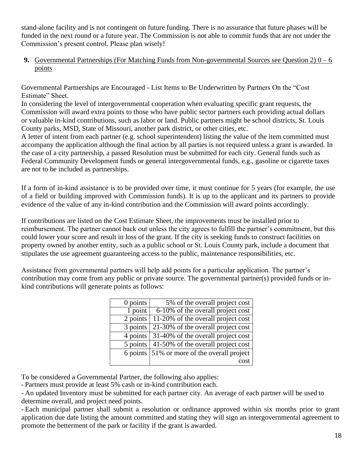stand-alone facility and is not contingent on future funding. There is no assurance that future phases will be funded in the next round or a future year. The Commission is not able to commit funds that are not under the Commission's present control. Please plan wisely!

**9.** Governmental Partnerships (For Matching Funds from Non-governmental Sources see Question 2) 0 – 6 points

Governmental Partnerships are Encouraged - List Items to Be Underwritten by Partners On the "Cost Estimate" Sheet.

In considering the level of intergovernmental cooperation when evaluating specific grant requests, the Commission will award extra points to those who have public sector partners each providing actual dollars or valuable in-kind contributions, such as labor or land. Public partners might be school districts, St. Louis County parks, MSD, State of Missouri, another park district, or other cities, etc.

A letter of intent from each partner (e.g. school superintendent) listing the value of the item committed must accompany the application although the final action by all parties is not required unless a grant is awarded. In the case of a city partnership, a passed Resolution must be submitted for each city. General funds such as Federal Community Development funds or general intergovernmental funds, e.g., gasoline or cigarette taxes are not to be included as partnerships.

If a form of in-kind assistance is to be provided over time, it must continue for 5 years (for example, the use of a field or building improved with Commission funds). It is up to the applicant and its partners to provide evidence of the value of any in-kind contribution and the Commission will award points accordingly.

If contributions are listed on the Cost Estimate Sheet, the improvements must be installed prior to reimbursement. The partner cannot back out unless the city agrees to fulfill the partner's commitment, but this could lower your score and result in loss of the grant. If the city is seeking funds to construct facilities on property owned by another entity, such as a public school or St. Louis County park, include a document that stipulates the use agreement guaranteeing access to the public, maintenance responsibilities, etc.

Assistance from governmental partners will help add points for a particular application. The partner's contribution may come from any public or private source. The governmental partner(s) provided funds or inkind contributions will generate points as follows:

| $0$ points | 5% of the overall project cost     |
|------------|------------------------------------|
| 1 point    | 6-10% of the overall project cost  |
| 2 points   | 11-20% of the overall project cost |
| 3 points   | 21-30% of the overall project cost |
| 4 points   | 31-40% of the overall project cost |
| 5 points   | 41-50% of the overall project cost |
| 6 points   | 51% or more of the overall project |
|            |                                    |

To be considered a Governmental Partner, the following also applies:

- Partners must provide at least 5% cash or in-kind contribution each.

- An updated Inventory must be submitted for each partner city. An average of each partner will be used to determine overall, and project need points.

- Each municipal partner shall submit a resolution or ordinance approved within six months prior to grant application due date listing the amount committed and stating they will sign an intergovernmental agreement to promote the betterment of the park or facility if the grant is awarded.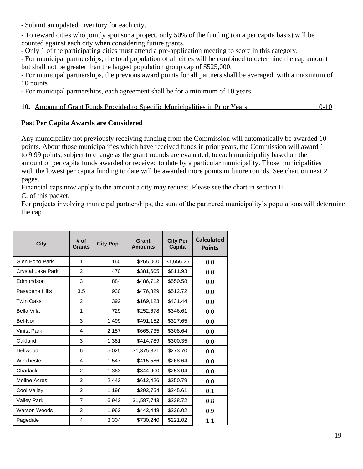- Submit an updated inventory for each city.

- To reward cities who jointly sponsor a project, only 50% of the funding (on a per capita basis) will be counted against each city when considering future grants.

- Only 1 of the participating cities must attend a pre-application meeting to score in this category.

- For municipal partnerships, the total population of all cities will be combined to determine the cap amount but shall not be greater than the largest population group cap of \$525,000.

- For municipal partnerships, the previous award points for all partners shall be averaged, with a maximum of 10 points

- For municipal partnerships, each agreement shall be for a minimum of 10 years.

| 10. Amount of Grant Funds Provided to Specific Municipalities in Prior Years |  | $0 - 10$ |
|------------------------------------------------------------------------------|--|----------|
|                                                                              |  |          |

### **Past Per Capita Awards are Considered**

Any municipality not previously receiving funding from the Commission will automatically be awarded 10 points. About those municipalities which have received funds in prior years, the Commission will award 1 to 9.99 points, subject to change as the grant rounds are evaluated, to each municipality based on the amount of per capita funds awarded or received to date by a particular municipality. Those municipalities with the lowest per capita funding to date will be awarded more points in future rounds. See chart on next 2 pages.

Financial caps now apply to the amount a city may request. Please see the chart in section II. C. of this packet.

For projects involving municipal partnerships, the sum of the partnered municipality's populations will determine the cap

| <b>City</b>         | # of<br>Grants | City Pop. | Grant<br><b>Amounts</b> | <b>City Per</b><br>Capita | <b>Calculated</b><br><b>Points</b> |
|---------------------|----------------|-----------|-------------------------|---------------------------|------------------------------------|
| Glen Echo Park      | 1              | 160       | \$265,000               | \$1,656.25                | 0.0                                |
| Crystal Lake Park   | 2              | 470       | \$381,605               | \$811.93                  | 0.0                                |
| Edmundson           | 3              | 884       | \$486,712               | \$550.58                  | 0.0                                |
| Pasadena Hills      | 3.5            | 930       | \$476,829               | \$512.72                  | 0.0                                |
| <b>Twin Oaks</b>    | 2              | 392       | \$169,123               | \$431.44                  | 0.0                                |
| Bella Villa         | 1              | 729       | \$252,678               | \$346.61                  | 0.0                                |
| Bel-Nor             | 3              | 1,499     | \$491,152               | \$327.65                  | 0.0                                |
| Vinita Park         | 4              | 2,157     | \$665,735               | \$308.64                  | 0.0                                |
| Oakland             | 3              | 1,381     | \$414,789               | \$300.35                  | 0.0                                |
| Dellwood            | 6              | 5,025     | \$1,375,321             | \$273.70                  | 0.0                                |
| Winchester          | 4              | 1,547     | \$415,586               | \$268.64                  | 0.0                                |
| Charlack            | 2              | 1,363     | \$344,900               | \$253.04                  | 0.0                                |
| <b>Moline Acres</b> | $\overline{2}$ | 2,442     | \$612,426               | \$250.79                  | 0.0                                |
| Cool Valley         | 2              | 1,196     | \$293,754               | \$245.61                  | 0.1                                |
| <b>Valley Park</b>  | $\overline{7}$ | 6,942     | \$1,587,743             | \$228.72                  | 0.8                                |
| Warson Woods        | 3              | 1,962     | \$443,448               | \$226.02                  | 0.9                                |
| Pagedale            | 4              | 3,304     | \$730,240               | \$221.02                  | 1.1                                |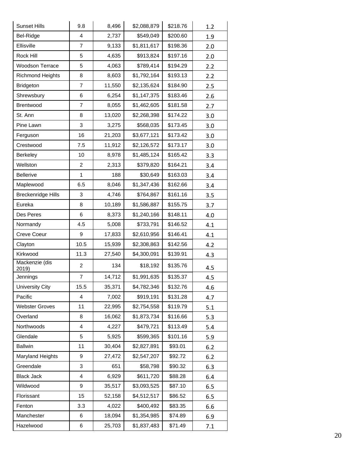| <b>Sunset Hills</b>       | 9.8            | 8,496  | \$2,088,879 | \$218.76 | 1.2 |
|---------------------------|----------------|--------|-------------|----------|-----|
| Bel-Ridge                 | 4              | 2,737  | \$549,049   | \$200.60 | 1.9 |
| Ellisville                | 7              | 9,133  | \$1,811,617 | \$198.36 | 2.0 |
| Rock Hill                 | 5              | 4,635  | \$913,824   | \$197.16 | 2.0 |
| <b>Woodson Terrace</b>    | 5              | 4,063  | \$789,414   | \$194.29 | 2.2 |
| <b>Richmond Heights</b>   | 8              | 8,603  | \$1,792,164 | \$193.13 | 2.2 |
| <b>Bridgeton</b>          | 7              | 11,550 | \$2,135,624 | \$184.90 | 2.5 |
| Shrewsbury                | 6              | 6,254  | \$1,147,375 | \$183.46 | 2.6 |
| Brentwood                 | $\overline{7}$ | 8,055  | \$1,462,605 | \$181.58 | 2.7 |
| St. Ann                   | 8              | 13,020 | \$2,268,398 | \$174.22 | 3.0 |
| Pine Lawn                 | 3              | 3,275  | \$568,035   | \$173.45 | 3.0 |
| Ferguson                  | 16             | 21,203 | \$3,677,121 | \$173.42 | 3.0 |
| Crestwood                 | 7.5            | 11,912 | \$2,126,572 | \$173.17 | 3.0 |
| Berkeley                  | 10             | 8,978  | \$1,485,124 | \$165.42 | 3.3 |
| Wellston                  | 2              | 2,313  | \$379,820   | \$164.21 | 3.4 |
| <b>Bellerive</b>          | $\mathbf{1}$   | 188    | \$30,649    | \$163.03 | 3.4 |
| Maplewood                 | 6.5            | 8,046  | \$1,347,436 | \$162.66 | 3.4 |
| <b>Breckenridge Hills</b> | 3              | 4,746  | \$764,867   | \$161.16 | 3.5 |
| Eureka                    | 8              | 10,189 | \$1,586,887 | \$155.75 | 3.7 |
| Des Peres                 | 6              | 8,373  | \$1,240,166 | \$148.11 | 4.0 |
| Normandy                  | 4.5            | 5,008  | \$733,791   | \$146.52 | 4.1 |
| Creve Coeur               | 9              | 17,833 | \$2,610,956 | \$146.41 | 4.1 |
| Clayton                   | 10.5           | 15,939 | \$2,308,863 | \$142.56 | 4.2 |
| Kirkwood                  | 11.3           | 27,540 | \$4,300,091 | \$139.91 | 4.3 |
| Mackenzie (dis<br>2019)   | 2              | 134    | \$18,192    | \$135.76 | 4.5 |
| Jennings                  | 7              | 14,712 | \$1,991,635 | \$135.37 | 4.5 |
| University City           | 15.5           | 35,371 | \$4,782,346 | \$132.76 | 4.6 |
| Pacific                   | 4              | 7,002  | \$919,191   | \$131.28 | 4.7 |
| <b>Webster Groves</b>     | 11             | 22,995 | \$2,754,558 | \$119.79 | 5.1 |
| Overland                  | 8              | 16,062 | \$1,873,734 | \$116.66 | 5.3 |
| Northwoods                | 4              | 4,227  | \$479,721   | \$113.49 | 5.4 |
| Glendale                  | 5              | 5,925  | \$599,365   | \$101.16 | 5.9 |
| <b>Ballwin</b>            | 11             | 30,404 | \$2,827,891 | \$93.01  | 6.2 |
| <b>Maryland Heights</b>   | 9              | 27,472 | \$2,547,207 | \$92.72  | 6.2 |
| Greendale                 | 3              | 651    | \$58,798    | \$90.32  | 6.3 |
| <b>Black Jack</b>         | 4              | 6,929  | \$611,720   | \$88.28  | 6.4 |
| Wildwood                  | 9              | 35,517 | \$3,093,525 | \$87.10  | 6.5 |
| Florissant                | 15             | 52,158 | \$4,512,517 | \$86.52  | 6.5 |
| Fenton                    | 3.3            | 4,022  | \$400,492   | \$83.35  | 6.6 |
| Manchester                | 6              | 18,094 | \$1,354,985 | \$74.89  | 6.9 |
| Hazelwood                 | 6              | 25,703 | \$1,837,483 | \$71.49  | 7.1 |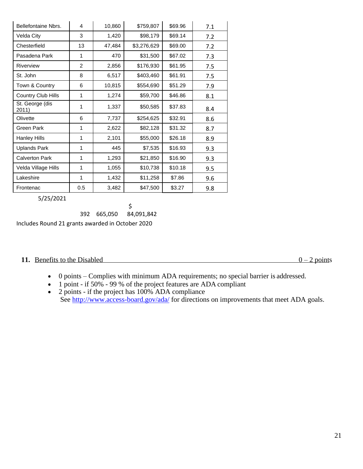| Bellefontaine Nbrs.      | 4              | 10,860 | \$759,807   | \$69.96 | 7.1 |
|--------------------------|----------------|--------|-------------|---------|-----|
| Velda City               | 3              | 1,420  | \$98,179    | \$69.14 | 7.2 |
| Chesterfield             | 13             | 47,484 | \$3,276,629 | \$69.00 | 7.2 |
| Pasadena Park            | 1              | 470    | \$31,500    | \$67.02 | 7.3 |
| Riverview                | $\overline{2}$ | 2,856  | \$176,930   | \$61.95 | 7.5 |
| St. John                 | 8              | 6,517  | \$403,460   | \$61.91 | 7.5 |
| Town & Country           | 6              | 10,815 | \$554,690   | \$51.29 | 7.9 |
| Country Club Hills       | 1              | 1,274  | \$59,700    | \$46.86 | 8.1 |
| St. George (dis<br>2011) | 1              | 1,337  | \$50,585    | \$37.83 | 8.4 |
| Olivette                 | 6              | 7,737  | \$254,625   | \$32.91 | 8.6 |
| Green Park               | 1              | 2,622  | \$82,128    | \$31.32 | 8.7 |
| Hanley Hills             | 1              | 2,101  | \$55,000    | \$26.18 | 8.9 |
| <b>Uplands Park</b>      | 1              | 445    | \$7,535     | \$16.93 | 9.3 |
| <b>Calverton Park</b>    | 1              | 1,293  | \$21,850    | \$16.90 | 9.3 |
| Velda Village Hills      | 1              | 1,055  | \$10,738    | \$10.18 | 9.5 |
| Lakeshire                | 1              | 1,432  | \$11,258    | \$7.86  | 9.6 |
| Frontenac                | 0.5            | 3,482  | \$47,500    | \$3.27  | 9.8 |

5/25/2021

392 665,050 \$ 84,091,842

Includes Round 21 grants awarded in October 2020

#### **11.** Benefits to the Disabled  $0 - 2$  points

- 0 points Complies with minimum ADA requirements; no special barrier is addressed.
- 1 point if 50% 99 % of the project features are ADA compliant
- 2 points if the project has  $100\%$  ADA compliance See<http://www.access-board.gov/ada/> for directions on improvements that meet ADA goals.